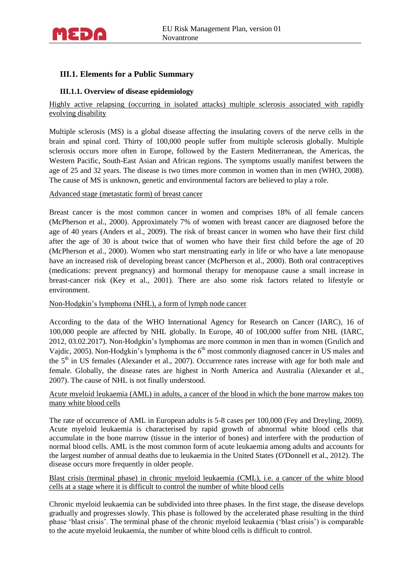

## **III.1. Elements for a Public Summary**

## **III.1.1. Overview of disease epidemiology**

Highly active relapsing (occurring in isolated attacks) multiple sclerosis associated with rapidly evolving disability

Multiple sclerosis (MS) is a global disease affecting the insulating covers of the nerve cells in the brain and spinal cord. Thirty of 100,000 people suffer from multiple sclerosis globally. Multiple sclerosis occurs more often in Europe, followed by the Eastern Mediterranean, the Americas, the Western Pacific, South-East Asian and African regions. The symptoms usually manifest between the age of 25 and 32 years. The disease is two times more common in women than in men (WHO, 2008). The cause of MS is unknown, genetic and environmental factors are believed to play a role.

Advanced stage (metastatic form) of breast cancer

Breast cancer is the most common cancer in women and comprises 18% of all female cancers (McPherson et al., 2000). Approximately 7% of women with breast cancer are diagnosed before the age of 40 years (Anders et al., 2009). The risk of breast cancer in women who have their first child after the age of 30 is about twice that of women who have their first child before the age of 20 (McPherson et al., 2000). Women who start menstruating early in life or who have a late menopause have an increased risk of developing breast cancer (McPherson et al., 2000). Both oral contraceptives (medications: prevent pregnancy) and hormonal therapy for menopause cause a small increase in breast-cancer risk (Key et al., 2001). There are also some risk factors related to lifestyle or environment.

Non-Hodgkin's lymphoma (NHL), a form of lymph node cancer

According to the data of the WHO International Agency for Research on Cancer (IARC), 16 of 100,000 people are affected by NHL globally. In Europe, 40 of 100,000 suffer from NHL (IARC, 2012, 03.02.2017). Non-Hodgkin's lymphomas are more common in men than in women (Grulich and Vajdic, 2005). Non-Hodgkin's lymphoma is the  $6<sup>th</sup>$  most commonly diagnosed cancer in US males and the  $5<sup>th</sup>$  in US females (Alexander et al., 2007). Occurrence rates increase with age for both male and female. Globally, the disease rates are highest in North America and Australia (Alexander et al., 2007). The cause of NHL is not finally understood.

## Acute myeloid leukaemia (AML) in adults, a cancer of the blood in which the bone marrow makes too many white blood cells

The rate of occurrence of AML in European adults is 5-8 cases per 100,000 (Fey and Dreyling, 2009). Acute myeloid leukaemia is characterised by rapid growth of abnormal white blood cells that accumulate in the bone marrow (tissue in the interior of bones) and interfere with the production of normal blood cells. AML is the most common form of acute leukaemia among adults and accounts for the largest number of annual deaths due to leukaemia in the United States (O'Donnell et al., 2012). The disease occurs more frequently in older people.

## Blast crisis (terminal phase) in chronic myeloid leukaemia (CML), i.e. a cancer of the white blood cells at a stage where it is difficult to control the number of white blood cells

Chronic myeloid leukaemia can be subdivided into three phases. In the first stage, the disease develops gradually and progresses slowly. This phase is followed by the accelerated phase resulting in the third phase 'blast crisis'. The terminal phase of the chronic myeloid leukaemia ('blast crisis') is comparable to the acute myeloid leukaemia, the number of white blood cells is difficult to control.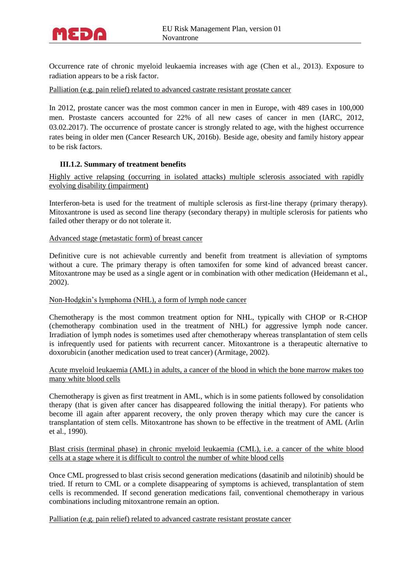

Occurrence rate of chronic myeloid leukaemia increases with age (Chen et al., 2013). Exposure to radiation appears to be a risk factor.

Palliation (e.g. pain relief) related to advanced castrate resistant prostate cancer

In 2012, prostate cancer was the most common cancer in men in Europe, with 489 cases in 100,000 men. Prostaste cancers accounted for 22% of all new cases of cancer in men (IARC, 2012, 03.02.2017). The occurrence of prostate cancer is strongly related to age, with the highest occurrence rates being in older men (Cancer Research UK, 2016b). Beside age, obesity and family history appear to be risk factors.

#### **III.1.2. Summary of treatment benefits**

Highly active relapsing (occurring in isolated attacks) multiple sclerosis associated with rapidly evolving disability (impairment)

Interferon-beta is used for the treatment of multiple sclerosis as first-line therapy (primary therapy). Mitoxantrone is used as second line therapy (secondary therapy) in multiple sclerosis for patients who failed other therapy or do not tolerate it.

#### Advanced stage (metastatic form) of breast cancer

Definitive cure is not achievable currently and benefit from treatment is alleviation of symptoms without a cure. The primary therapy is often tamoxifen for some kind of advanced breast cancer. Mitoxantrone may be used as a single agent or in combination with other medication (Heidemann et al., 2002).

#### Non-Hodgkin's lymphoma (NHL), a form of lymph node cancer

Chemotherapy is the most common treatment option for NHL, typically with CHOP or R-CHOP [\(chemotherapy combination](https://en.wikipedia.org/wiki/Chemotherapy_regimen) used in the treatment of [NHL\)](https://en.wikipedia.org/wiki/Non-Hodgkin_lymphoma) for aggressive lymph node cancer. Irradiation of lymph nodes is sometimes used after chemotherapy whereas transplantation of stem cells is infrequently used for patients with recurrent cancer. Mitoxantrone is a therapeutic alternative to doxorubicin (another medication used to treat cancer) (Armitage, 2002).

#### Acute myeloid leukaemia (AML) in adults, a cancer of the blood in which the bone marrow makes too many white blood cells

Chemotherapy is given as first treatment in AML, which is in some patients followed by consolidation therapy (that is given after cancer has disappeared following the initial therapy). For patients who become ill again after apparent recovery, the only proven therapy which may cure the cancer is transplantation of stem cells. Mitoxantrone has shown to be effective in the treatment of AML (Arlin et al., 1990).

Blast crisis (terminal phase) in chronic myeloid leukaemia (CML), i.e. a cancer of the white blood cells at a stage where it is difficult to control the number of white blood cells

Once CML progressed to blast crisis second generation medications (dasatinib and nilotinib) should be tried. If return to CML or a complete disappearing of symptoms is achieved, transplantation of stem cells is recommended. If second generation medications fail, conventional chemotherapy in various combinations including mitoxantrone remain an option.

Palliation (e.g. pain relief) related to advanced castrate resistant prostate cancer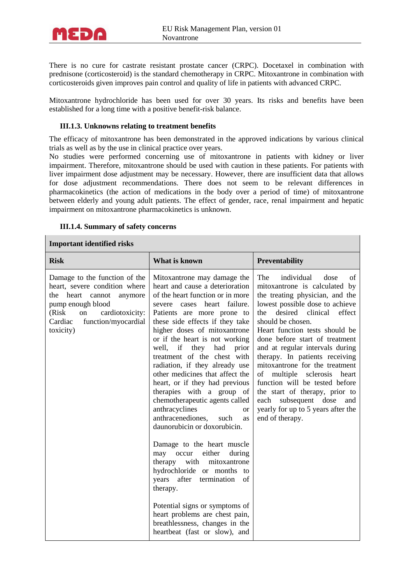

There is no cure for castrate resistant prostate cancer (CRPC). Docetaxel in combination with prednisone (corticosteroid) is the standard chemotherapy in CRPC. Mitoxantrone in combination with corticosteroids given improves pain control and quality of life in patients with advanced CRPC.

Mitoxantrone hydrochloride has been used for over 30 years. Its risks and benefits have been established for a long time with a positive benefit-risk balance.

#### **III.1.3. Unknowns relating to treatment benefits**

The efficacy of mitoxantrone has been demonstrated in the approved indications by various clinical trials as well as by the use in clinical practice over years.

No studies were performed concerning use of mitoxantrone in patients with kidney or liver impairment. Therefore, mitoxantrone should be used with caution in these patients. For patients with liver impairment dose adjustment may be necessary. However, there are insufficient data that allows for dose adjustment recommendations. There does not seem to be relevant differences in pharmacokinetics (the action of medications in the body over a period of time) of mitoxantrone between elderly and young adult patients. The effect of gender, race, renal impairment and hepatic impairment on mitoxantrone pharmacokinetics is unknown.

#### **III.1.4. Summary of safety concerns**

## **Important identified risks**

| <b>Risk</b>                                                                                                                                                                                         | What is known                                                                                                                                                                                                                                                                                                                                                                                                                                                                                                                                                                                                                                                                                                                                                                                                                                                                                                                     | Preventability                                                                                                                                                                                                                                                                                                                                                                                                                                                                                                                                                               |  |  |  |
|-----------------------------------------------------------------------------------------------------------------------------------------------------------------------------------------------------|-----------------------------------------------------------------------------------------------------------------------------------------------------------------------------------------------------------------------------------------------------------------------------------------------------------------------------------------------------------------------------------------------------------------------------------------------------------------------------------------------------------------------------------------------------------------------------------------------------------------------------------------------------------------------------------------------------------------------------------------------------------------------------------------------------------------------------------------------------------------------------------------------------------------------------------|------------------------------------------------------------------------------------------------------------------------------------------------------------------------------------------------------------------------------------------------------------------------------------------------------------------------------------------------------------------------------------------------------------------------------------------------------------------------------------------------------------------------------------------------------------------------------|--|--|--|
| Damage to the function of the<br>heart, severe condition where<br>heart cannot<br>the<br>anymore<br>pump enough blood<br>(Risk<br>cardiotoxicity:<br>on<br>Cardiac function/myocardial<br>toxicity) | Mitoxantrone may damage the<br>heart and cause a deterioration<br>of the heart function or in more<br>heart failure.<br>severe cases<br>Patients are more prone to<br>these side effects if they take<br>higher doses of mitoxantrone<br>or if the heart is not working<br>well, if they had<br>prior<br>treatment of the chest with<br>radiation, if they already use<br>other medicines that affect the<br>heart, or if they had previous<br>therapies with a group of<br>chemotherapeutic agents called<br>anthracyclines<br><sub>or</sub><br>anthracenediones,<br>such<br>as<br>daunorubicin or doxorubicin.<br>Damage to the heart muscle<br>may occur<br>either<br>during<br>mitoxantrone<br>therapy with<br>hydrochloride or months to<br>years after termination<br>of<br>therapy.<br>Potential signs or symptoms of<br>heart problems are chest pain,<br>breathlessness, changes in the<br>heartbeat (fast or slow), and | The<br>individual<br>dose<br>of<br>mitoxantrone is calculated by<br>the treating physician, and the<br>lowest possible dose to achieve<br>desired clinical<br>effect<br>the<br>should be chosen.<br>Heart function tests should be<br>done before start of treatment<br>and at regular intervals during<br>therapy. In patients receiving<br>mitoxantrone for the treatment<br>multiple sclerosis<br>of<br>heart<br>function will be tested before<br>the start of therapy, prior to<br>each subsequent dose<br>and<br>yearly for up to 5 years after the<br>end of therapy. |  |  |  |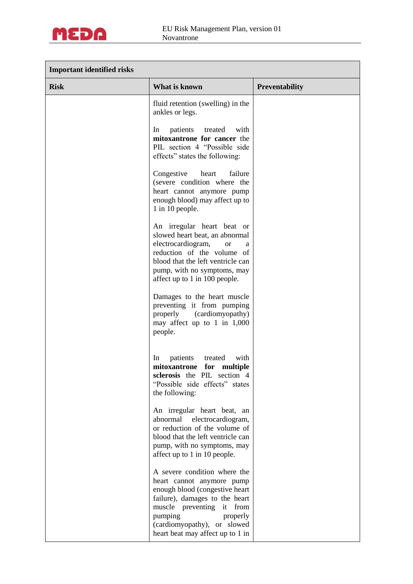

| <b>Important identified risks</b> |                                                                                                                                                                                                                                                         |                       |  |  |
|-----------------------------------|---------------------------------------------------------------------------------------------------------------------------------------------------------------------------------------------------------------------------------------------------------|-----------------------|--|--|
| <b>Risk</b>                       | What is known                                                                                                                                                                                                                                           | <b>Preventability</b> |  |  |
|                                   | fluid retention (swelling) in the<br>ankles or legs.                                                                                                                                                                                                    |                       |  |  |
|                                   | In<br>patients<br>treated<br>with<br>mitoxantrone for cancer the<br>PIL section 4 "Possible side<br>effects" states the following:                                                                                                                      |                       |  |  |
|                                   | Congestive<br>heart<br>failure<br>(severe condition where the<br>heart cannot anymore pump<br>enough blood) may affect up to<br>1 in 10 people.                                                                                                         |                       |  |  |
|                                   | An irregular heart beat or<br>slowed heart beat, an abnormal<br>electrocardiogram,<br><b>or</b><br>a<br>reduction of the volume of<br>blood that the left ventricle can<br>pump, with no symptoms, may<br>affect up to 1 in 100 people.                 |                       |  |  |
|                                   | Damages to the heart muscle<br>preventing it from pumping<br>(cardiomyopathy)<br>properly<br>may affect up to 1 in 1,000<br>people.                                                                                                                     |                       |  |  |
|                                   | patients<br>treated<br>with<br>In<br>mitoxantrone for multiple<br>sclerosis the PIL section 4<br>"Possible side effects" states<br>the following:                                                                                                       |                       |  |  |
|                                   | An irregular heart beat, an<br>abnormal<br>electrocardiogram,<br>or reduction of the volume of<br>blood that the left ventricle can<br>pump, with no symptoms, may<br>affect up to 1 in 10 people.                                                      |                       |  |  |
|                                   | A severe condition where the<br>heart cannot anymore pump<br>enough blood (congestive heart<br>failure), damages to the heart<br>muscle preventing<br>it from<br>pumping<br>properly<br>(cardiomyopathy), or slowed<br>heart beat may affect up to 1 in |                       |  |  |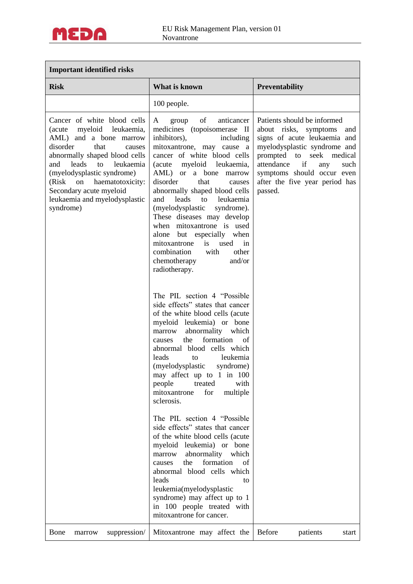

# **Important identified risks**

| <b>Risk</b>                                                                                                                                                                                                                                                                                                                        | What is known                                                                                                                                                                                                                                                                                                                                                                                                                                                                                                                                                    | <b>Preventability</b>                                                                                                                                                                                                                                                       |
|------------------------------------------------------------------------------------------------------------------------------------------------------------------------------------------------------------------------------------------------------------------------------------------------------------------------------------|------------------------------------------------------------------------------------------------------------------------------------------------------------------------------------------------------------------------------------------------------------------------------------------------------------------------------------------------------------------------------------------------------------------------------------------------------------------------------------------------------------------------------------------------------------------|-----------------------------------------------------------------------------------------------------------------------------------------------------------------------------------------------------------------------------------------------------------------------------|
|                                                                                                                                                                                                                                                                                                                                    | 100 people.                                                                                                                                                                                                                                                                                                                                                                                                                                                                                                                                                      |                                                                                                                                                                                                                                                                             |
| Cancer of white blood cells<br>myeloid leukaemia,<br>(acute)<br>AML) and a bone marrow<br>disorder<br>that<br>causes<br>abnormally shaped blood cells<br>leads<br>leukaemia<br>and<br>to<br>(myelodysplastic syndrome)<br>haematotoxicity:<br>(Risk<br>on<br>Secondary acute myeloid<br>leukaemia and myelodysplastic<br>syndrome) | of<br>anticancer<br>A<br>group<br>medicines (topoisomerase II<br>inhibitors),<br>including<br>mitoxantrone, may cause a<br>cancer of white blood cells<br>(acute<br>myeloid<br>leukaemia,<br>AML) or a bone<br>marrow<br>disorder<br>that<br>causes<br>abnormally shaped blood cells<br>leads<br>and<br>leukaemia<br>to<br>(myelodysplastic<br>syndrome).<br>These diseases may develop<br>when mitoxantrone is used<br>alone but especially when<br>mitoxantrone<br>is<br>used<br>in<br>combination<br>other<br>with<br>chemotherapy<br>and/or<br>radiotherapy. | Patients should be informed<br>about risks, symptoms<br>and<br>signs of acute leukaemia and<br>myelodysplastic syndrome and<br>prompted to<br>seek<br>medical<br>attendance<br>if<br>any<br>such<br>symptoms should occur even<br>after the five year period has<br>passed. |
|                                                                                                                                                                                                                                                                                                                                    | The PIL section 4 "Possible"<br>side effects" states that cancer<br>of the white blood cells (acute<br>myeloid leukemia) or bone<br>abnormality which<br>marrow<br>formation<br>of<br>the<br>causes<br>abnormal blood cells which<br>leads<br>leukemia<br>to<br>(myelodysplastic<br>syndrome)<br>may affect up to 1 in 100<br>people<br>treated<br>with<br>for<br>multiple<br>mitoxantrone<br>sclerosis.<br>The PIL section 4 "Possible                                                                                                                          |                                                                                                                                                                                                                                                                             |
|                                                                                                                                                                                                                                                                                                                                    | side effects" states that cancer<br>of the white blood cells (acute<br>myeloid leukemia) or bone<br>abnormality which<br>marrow<br>formation<br>the<br>of<br>causes<br>abnormal blood cells which<br>leads<br>to<br>leukemia(myelodysplastic<br>syndrome) may affect up to 1<br>in 100 people treated with<br>mitoxantrone for cancer.                                                                                                                                                                                                                           |                                                                                                                                                                                                                                                                             |
| suppression/<br>Bone<br>marrow                                                                                                                                                                                                                                                                                                     | Mitoxantrone may affect the                                                                                                                                                                                                                                                                                                                                                                                                                                                                                                                                      | <b>Before</b><br>patients<br>start                                                                                                                                                                                                                                          |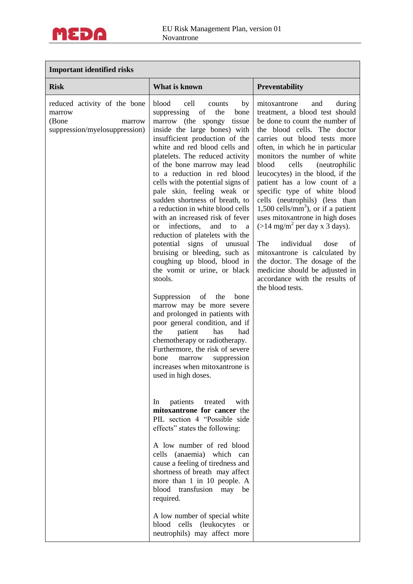

## **Important identified risks**

| <b>Risk</b>                                                                                | What is known<br><b>Preventability</b>                                                                                                                                                                                                                                                                                                                                                                                                                                                                                                                                                                                                                                                                                                                                                                                                                                                                                                                                                                                                                                                                                                                                                                                                                                                                                                                                                                                                                                                                               |                                                                                                                                                                                                                                                                                                                                                                                                                                                                                                                                                                                                                                                                                                                                                     |
|--------------------------------------------------------------------------------------------|----------------------------------------------------------------------------------------------------------------------------------------------------------------------------------------------------------------------------------------------------------------------------------------------------------------------------------------------------------------------------------------------------------------------------------------------------------------------------------------------------------------------------------------------------------------------------------------------------------------------------------------------------------------------------------------------------------------------------------------------------------------------------------------------------------------------------------------------------------------------------------------------------------------------------------------------------------------------------------------------------------------------------------------------------------------------------------------------------------------------------------------------------------------------------------------------------------------------------------------------------------------------------------------------------------------------------------------------------------------------------------------------------------------------------------------------------------------------------------------------------------------------|-----------------------------------------------------------------------------------------------------------------------------------------------------------------------------------------------------------------------------------------------------------------------------------------------------------------------------------------------------------------------------------------------------------------------------------------------------------------------------------------------------------------------------------------------------------------------------------------------------------------------------------------------------------------------------------------------------------------------------------------------------|
| reduced activity of the bone<br>marrow<br>(Bone<br>marrow<br>suppression/myelosuppression) | blood<br>cell<br>counts<br>by<br>of<br>suppressing<br>the<br>bone<br>marrow (the spongy tissue<br>inside the large bones) with<br>insufficient production of the<br>white and red blood cells and<br>platelets. The reduced activity<br>of the bone marrow may lead<br>to a reduction in red blood<br>cells with the potential signs of<br>pale skin, feeling weak or<br>sudden shortness of breath, to<br>a reduction in white blood cells<br>with an increased risk of fever<br>infections,<br>and<br>to<br><sub>or</sub><br>a<br>reduction of platelets with the<br>signs<br>potential<br>unusual<br>$\sigma$<br>bruising or bleeding, such as<br>coughing up blood, blood in<br>the vomit or urine, or black<br>stools.<br>Suppression<br>of<br>the<br>bone<br>marrow may be more severe<br>and prolonged in patients with<br>poor general condition, and if<br>the<br>patient<br>has<br>had<br>chemotherapy or radiotherapy.<br>Furthermore, the risk of severe<br>marrow<br>suppression<br>bone<br>increases when mitoxantrone is<br>used in high doses.<br>patients<br>treated<br>In<br>with<br>mitoxantrone for cancer the<br>PIL section 4 "Possible side<br>effects" states the following:<br>A low number of red blood<br>cells (anaemia) which can<br>cause a feeling of tiredness and<br>shortness of breath may affect<br>more than 1 in 10 people. A<br>blood<br>transfusion<br>may<br>be<br>required.<br>A low number of special white<br>blood cells (leukocytes or<br>neutrophils) may affect more | mitoxantrone<br>and<br>during<br>treatment, a blood test should<br>be done to count the number of<br>the blood cells. The doctor<br>carries out blood tests more<br>often, in which he in particular<br>monitors the number of white<br>blood<br>cells<br>(neutrophilic<br>leucocytes) in the blood, if the<br>patient has a low count of a<br>specific type of white blood<br>cells (neutrophils) (less than<br>1,500 cells/ $mm3$ ), or if a patient<br>uses mitoxantrone in high doses<br>$(>14 \text{ mg/m}^2 \text{ per day x } 3 \text{ days}).$<br>The<br>individual<br>dose<br>of<br>mitoxantrone is calculated by<br>the doctor. The dosage of the<br>medicine should be adjusted in<br>accordance with the results of<br>the blood tests. |
|                                                                                            |                                                                                                                                                                                                                                                                                                                                                                                                                                                                                                                                                                                                                                                                                                                                                                                                                                                                                                                                                                                                                                                                                                                                                                                                                                                                                                                                                                                                                                                                                                                      |                                                                                                                                                                                                                                                                                                                                                                                                                                                                                                                                                                                                                                                                                                                                                     |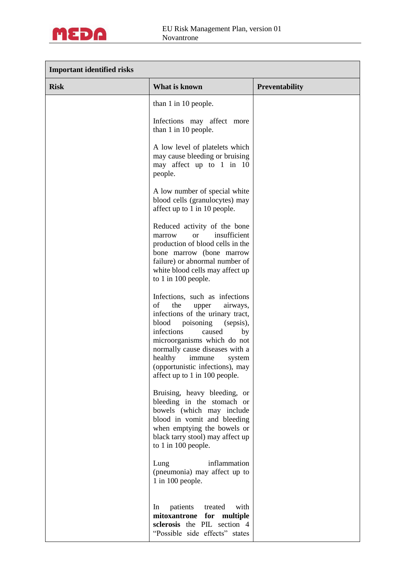

| <b>Important identified risks</b> |                                                                                                                                                                                                                                                                                                                                           |                |  |  |
|-----------------------------------|-------------------------------------------------------------------------------------------------------------------------------------------------------------------------------------------------------------------------------------------------------------------------------------------------------------------------------------------|----------------|--|--|
| <b>Risk</b>                       | What is known                                                                                                                                                                                                                                                                                                                             | Preventability |  |  |
|                                   | than 1 in 10 people.                                                                                                                                                                                                                                                                                                                      |                |  |  |
|                                   | Infections may affect more<br>than 1 in 10 people.                                                                                                                                                                                                                                                                                        |                |  |  |
|                                   | A low level of platelets which<br>may cause bleeding or bruising<br>may affect up to 1 in 10<br>people.                                                                                                                                                                                                                                   |                |  |  |
|                                   | A low number of special white<br>blood cells (granulocytes) may<br>affect up to 1 in 10 people.                                                                                                                                                                                                                                           |                |  |  |
|                                   | Reduced activity of the bone<br>insufficient<br>marrow<br><b>or</b><br>production of blood cells in the<br>bone marrow (bone marrow<br>failure) or abnormal number of<br>white blood cells may affect up<br>to 1 in 100 people.                                                                                                           |                |  |  |
|                                   | Infections, such as infections<br>of<br>the<br>airways,<br>upper<br>infections of the urinary tract,<br>blood<br>poisoning<br>(sepsis),<br>infections<br>caused<br>by<br>microorganisms which do not<br>normally cause diseases with a<br>healthy<br>immune<br>system<br>(opportunistic infections), may<br>affect up to 1 in 100 people. |                |  |  |
|                                   | Bruising, heavy bleeding, or<br>bleeding in the stomach or<br>bowels (which may include<br>blood in vomit and bleeding<br>when emptying the bowels or<br>black tarry stool) may affect up<br>to 1 in 100 people.                                                                                                                          |                |  |  |
|                                   | Lung<br>inflammation<br>(pneumonia) may affect up to<br>1 in 100 people.                                                                                                                                                                                                                                                                  |                |  |  |
|                                   | patients<br>with<br>In<br>treated<br>mitoxantrone<br>for<br>multiple<br>sclerosis the PIL section 4<br>"Possible side effects" states                                                                                                                                                                                                     |                |  |  |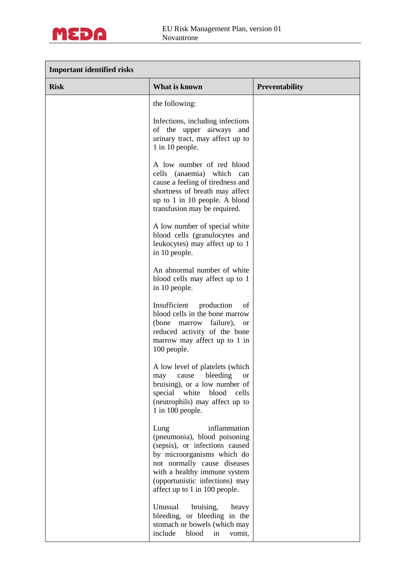

| <b>Important identified risks</b> |                                                                                                                                                                                                                                                        |                       |  |  |
|-----------------------------------|--------------------------------------------------------------------------------------------------------------------------------------------------------------------------------------------------------------------------------------------------------|-----------------------|--|--|
| <b>Risk</b>                       | What is known                                                                                                                                                                                                                                          | <b>Preventability</b> |  |  |
|                                   | the following:                                                                                                                                                                                                                                         |                       |  |  |
|                                   | Infections, including infections<br>of the upper airways and<br>urinary tract, may affect up to<br>1 in 10 people.                                                                                                                                     |                       |  |  |
|                                   | A low number of red blood<br>cells (anaemia) which can<br>cause a feeling of tiredness and<br>shortness of breath may affect<br>up to 1 in 10 people. A blood<br>transfusion may be required.                                                          |                       |  |  |
|                                   | A low number of special white<br>blood cells (granulocytes and<br>leukocytes) may affect up to 1<br>in 10 people.                                                                                                                                      |                       |  |  |
|                                   | An abnormal number of white<br>blood cells may affect up to 1<br>in 10 people.                                                                                                                                                                         |                       |  |  |
|                                   | Insufficient production<br>of<br>blood cells in the bone marrow<br>(bone marrow failure),<br><b>or</b><br>reduced activity of the bone<br>marrow may affect up to 1 in<br>100 people.                                                                  |                       |  |  |
|                                   | A low level of platelets (which<br>bleeding<br>cause<br>may<br><sub>or</sub><br>bruising), or a low number of<br>special white blood<br>cells<br>(neutrophils) may affect up to<br>1 in 100 people.                                                    |                       |  |  |
|                                   | inflammation<br>Lung<br>(pneumonia), blood poisoning<br>(sepsis), or infections caused<br>by microorganisms which do<br>not normally cause diseases<br>with a healthy immune system<br>(opportunistic infections) may<br>affect up to 1 in 100 people. |                       |  |  |
|                                   | Unusual<br>bruising,<br>heavy<br>bleeding, or bleeding in the<br>stomach or bowels (which may<br>include<br>blood<br>in<br>vomit,                                                                                                                      |                       |  |  |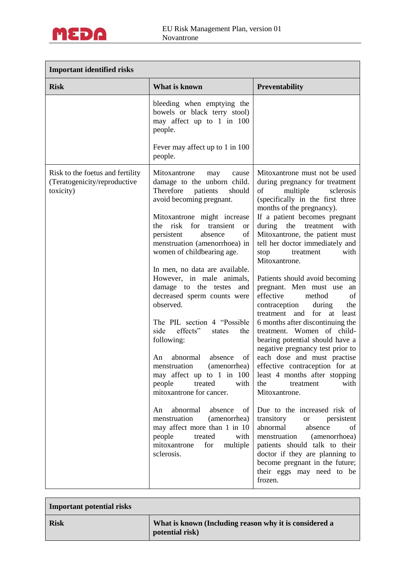

 $\Box$ 

| <b>Important identified risks</b>                                             |                                                                                                                                                                                                                                                                                                                                                                                                                                                                                                                                                                                                                                                                                                                                                                                            |                                                                                                                                                                                                                                                                                                                                                                                                                                                                                                                                                                                                                                                                                                                                                                                                                                                                                                                    |  |  |
|-------------------------------------------------------------------------------|--------------------------------------------------------------------------------------------------------------------------------------------------------------------------------------------------------------------------------------------------------------------------------------------------------------------------------------------------------------------------------------------------------------------------------------------------------------------------------------------------------------------------------------------------------------------------------------------------------------------------------------------------------------------------------------------------------------------------------------------------------------------------------------------|--------------------------------------------------------------------------------------------------------------------------------------------------------------------------------------------------------------------------------------------------------------------------------------------------------------------------------------------------------------------------------------------------------------------------------------------------------------------------------------------------------------------------------------------------------------------------------------------------------------------------------------------------------------------------------------------------------------------------------------------------------------------------------------------------------------------------------------------------------------------------------------------------------------------|--|--|
| <b>Risk</b>                                                                   | What is known                                                                                                                                                                                                                                                                                                                                                                                                                                                                                                                                                                                                                                                                                                                                                                              | <b>Preventability</b>                                                                                                                                                                                                                                                                                                                                                                                                                                                                                                                                                                                                                                                                                                                                                                                                                                                                                              |  |  |
|                                                                               | bleeding when emptying the<br>bowels or black terry stool)<br>may affect up to 1 in 100<br>people.<br>Fever may affect up to 1 in 100<br>people.                                                                                                                                                                                                                                                                                                                                                                                                                                                                                                                                                                                                                                           |                                                                                                                                                                                                                                                                                                                                                                                                                                                                                                                                                                                                                                                                                                                                                                                                                                                                                                                    |  |  |
| Risk to the foetus and fertility<br>(Teratogenicity/reproductive<br>toxicity) | Mitoxantrone<br>cause<br>may<br>damage to the unborn child.<br>Therefore<br>patients<br>should<br>avoid becoming pregnant.<br>Mitoxantrone might increase<br>risk<br>for<br>transient<br>the<br><b>or</b><br>of<br>persistent<br>absence<br>menstruation (amenorrhoea) in<br>women of childbearing age.<br>In men, no data are available.<br>However, in male animals,<br>damage to the testes<br>and<br>decreased sperm counts were<br>observed.<br>The PIL section 4 "Possible"<br>side<br>effects"<br>the<br>states<br>following:<br>abnormal<br>of<br>absence<br>An<br>menstruation<br>(amenorrhea)<br>may affect up to 1 in 100<br>people<br>treated<br>with<br>mitoxantrone for cancer.<br>abnormal absence of<br>An<br>menstruation<br>(amenorrhea)<br>may affect more than 1 in 10 | Mitoxantrone must not be used<br>during pregnancy for treatment<br>multiple<br>of<br>sclerosis<br>(specifically in the first three<br>months of the pregnancy).<br>If a patient becomes pregnant<br>during the<br>treatment<br>with<br>Mitoxantrone, the patient must<br>tell her doctor immediately and<br>with<br>stop<br>treatment<br>Mitoxantrone.<br>Patients should avoid becoming<br>pregnant. Men must use an<br>effective<br>of<br>method<br>the<br>contraception<br>during<br>for<br>treatment<br>and<br>least<br>at<br>6 months after discontinuing the<br>treatment. Women of child-<br>bearing potential should have a<br>negative pregnancy test prior to<br>each dose and must practise<br>effective contraception for at<br>least 4 months after stopping<br>the<br>with<br>treatment<br>Mitoxantrone.<br>Due to the increased risk of<br>transitory<br>or persistent<br>abnormal<br>absence<br>of |  |  |
|                                                                               | people<br>treated<br>with<br>mitoxantrone<br>for<br>multiple<br>sclerosis.                                                                                                                                                                                                                                                                                                                                                                                                                                                                                                                                                                                                                                                                                                                 | menstruation<br>(amenorrhoea)<br>patients should talk to their<br>doctor if they are planning to<br>become pregnant in the future;<br>their eggs may need to be<br>frozen.                                                                                                                                                                                                                                                                                                                                                                                                                                                                                                                                                                                                                                                                                                                                         |  |  |

| <b>Important potential risks</b> |                                                                           |
|----------------------------------|---------------------------------------------------------------------------|
| <b>Risk</b>                      | What is known (Including reason why it is considered a<br>potential risk) |
|                                  |                                                                           |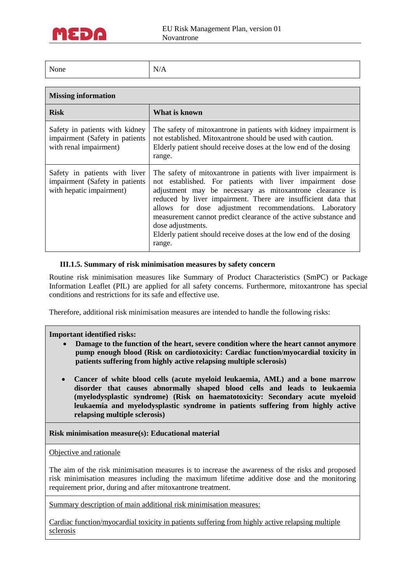

| $\mathbf{r}$<br>None | N<br>$\lambda$<br>$\mathbf{1}$ |
|----------------------|--------------------------------|
|                      |                                |

## **Missing information**

| <b>Risk</b>                                                                                 | What is known                                                                                                                                                                                                                                                                                                                                                                                                                                                                              |
|---------------------------------------------------------------------------------------------|--------------------------------------------------------------------------------------------------------------------------------------------------------------------------------------------------------------------------------------------------------------------------------------------------------------------------------------------------------------------------------------------------------------------------------------------------------------------------------------------|
| Safety in patients with kidney<br>impairment (Safety in patients<br>with renal impairment)  | The safety of mitoxantrone in patients with kidney impairment is<br>not established. Mitoxantrone should be used with caution.<br>Elderly patient should receive doses at the low end of the dosing<br>range.                                                                                                                                                                                                                                                                              |
| Safety in patients with liver<br>impairment (Safety in patients<br>with hepatic impairment) | The safety of mitoxantrone in patients with liver impairment is<br>not established. For patients with liver impairment dose<br>adjustment may be necessary as mitoxantrone clearance is<br>reduced by liver impairment. There are insufficient data that<br>allows for dose adjustment recommendations. Laboratory<br>measurement cannot predict clearance of the active substance and<br>dose adjustments.<br>Elderly patient should receive doses at the low end of the dosing<br>range. |

#### **III.1.5. Summary of risk minimisation measures by safety concern**

Routine risk minimisation measures like Summary of Product Characteristics (SmPC) or Package Information Leaflet (PIL) are applied for all safety concerns. Furthermore, mitoxantrone has special conditions and restrictions for its safe and effective use.

Therefore, additional risk minimisation measures are intended to handle the following risks:

#### **Important identified risks:**

- **Damage to the function of the heart, severe condition where the heart cannot anymore pump enough blood (Risk on cardiotoxicity: Cardiac function/myocardial toxicity in patients suffering from highly active relapsing multiple sclerosis)**
- **Cancer of white blood cells (acute myeloid leukaemia, AML) and a bone marrow disorder that causes abnormally shaped blood cells and leads to leukaemia (myelodysplastic syndrome) (Risk on haematotoxicity: Secondary acute myeloid leukaemia and myelodysplastic syndrome in patients suffering from highly active relapsing multiple sclerosis)**

#### **Risk minimisation measure(s): Educational material**

Objective and rationale

The aim of the risk minimisation measures is to increase the awareness of the risks and proposed risk minimisation measures including the maximum lifetime additive dose and the monitoring requirement prior, during and after mitoxantrone treatment.

Summary description of main additional risk minimisation measures:

Cardiac function/myocardial toxicity in patients suffering from highly active relapsing multiple sclerosis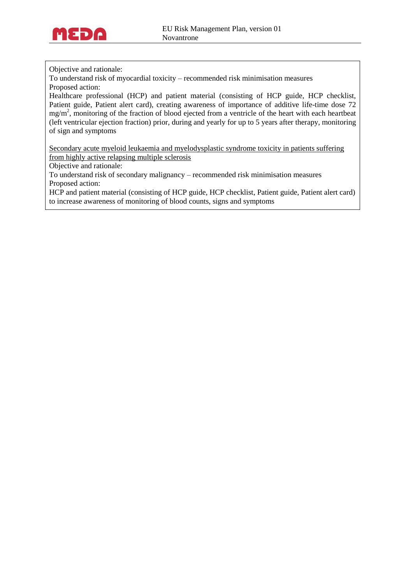

Objective and rationale:

To understand risk of myocardial toxicity – recommended risk minimisation measures Proposed action:

Healthcare professional (HCP) and patient material (consisting of HCP guide, HCP checklist, Patient guide, Patient alert card), creating awareness of importance of additive life-time dose 72  $mg/m<sup>2</sup>$ , monitoring of the fraction of blood ejected from a ventricle of the heart with each heartbeat (left ventricular ejection fraction) prior, during and yearly for up to 5 years after therapy, monitoring of sign and symptoms

Secondary acute myeloid leukaemia and myelodysplastic syndrome toxicity in patients suffering from highly active relapsing multiple sclerosis

Objective and rationale:

To understand risk of secondary malignancy – recommended risk minimisation measures Proposed action:

HCP and patient material (consisting of HCP guide, HCP checklist, Patient guide, Patient alert card) to increase awareness of monitoring of blood counts, signs and symptoms